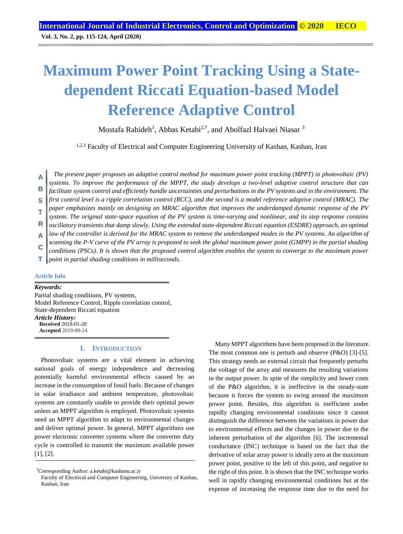# **Maximum Power Point Tracking Using a Statedependent Riccati Equation-based Model Reference Adaptive Control**

Mostafa Rahideh<sup>1</sup>, Abbas Ketabi<sup>2,†</sup>, and Abolfazl Halvaei Niasar <sup>3</sup>

<sup>1,2,3</sup> Faculty of Electrical and Computer Engineering University of Kashan, Kashan, Iran

*The present paper proposes an adaptive control method for maximum power point tracking (MPPT) in photovoltaic (PV) systems. To improve the performance of the MPPT, the study develops a two-level adaptive control structure that can facilitate system control and efficiently handle uncertainties and perturbations in the PV systems and in the environment. The first control level is a ripple correlation control (RCC), and the second is a model reference adaptive control (MRAC). The paper emphasizes mainly on designing an MRAC algorithm that improves the underdamped dynamic response of the PV system. The original state-space equation of the PV system is time-varying and nonlinear, and its step response contains oscillatory transients that damp slowly. Using the extended state-dependent Riccati equation (ESDRE) approach, an optimal law of the controller is derived for the MRAC system to remove the underdamped modes in the PV systems. An algorithm of scanning the P-V curve of the PV array is proposed to seek the global maximum power point (GMPP) in the partial shading*  **A B S T R A C**

*conditions (PSCs). It is shown that the proposed control algorithm enables the system to converge to the maximum power point in partial shading conditions in milliseconds.* **T**

## **Article Info**

*Keywords:* Partial shading conditions, PV systems, Model Reference Control, Ripple correlation control, State-dependent Riccati equation *Article History:* **Received** 2019-01-20 **Accepted** 2019-09-24

## **I. INTRODUCTION**

Photovoltaic systems are a vital element in achieving national goals of energy independence and decreasing potentially harmful environmental effects caused by an increase in the consumption of fossil fuels. Because of changes in solar irradiance and ambient temperature, photovoltaic systems are constantly unable to provide their optimal power unless an MPPT algorithm is employed. Photovoltaic systems need an MPPT algorithm to adapt to environmental changes and deliver optimal power. In general, MPPT algorithms use power electronic converter systems where the converter duty cycle is controlled to transmit the maximum available power [1], [2].

Many MPPT algorithms have been proposed in the literature. The most common one is perturb and observe (P&O) [3]-[5]. This strategy needs an external circuit that frequently perturbs the voltage of the array and measures the resulting variations in the output power. In spite of the simplicity and lower costs of the P&O algorithm, it is ineffective in the steady-state because it forces the system to swing around the maximum power point. Besides, this algorithm is inefficient under rapidly changing environmental conditions since it cannot distinguish the difference between the variations in power due to environmental effects and the changes in power due to the inherent perturbation of the algorithm [6]. The incremental conductance (INC) technique is based on the fact that the derivative of solar array power is ideally zero at the maximum power point, positive to the left of this point, and negative to the right of this point. It is shown that the INC technique works well in rapidly changing environmental conditions but at the expense of increasing the response time due to the need for

<sup>†</sup>Corresponding Author: a.ketabi@kashanu.ac.ir

Faculty of Electrical and Computer Engineering, University of Kashan, Kashan, Iran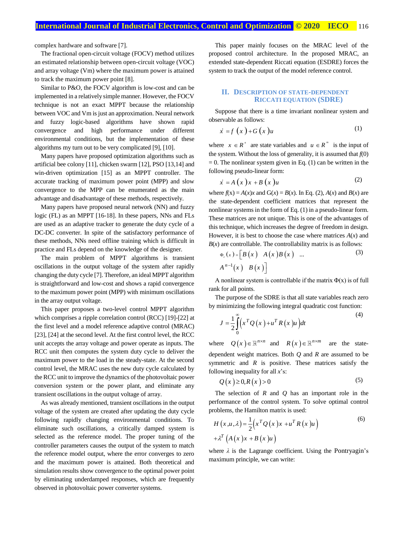complex hardware and software [7].

The fractional open-circuit voltage (FOCV) method utilizes an estimated relationship between open-circuit voltage (VOC) and array voltage (Vm) where the maximum power is attained to track the maximum power point [8].

Similar to P&O, the FOCV algorithm is low-cost and can be implemented in a relatively simple manner. However, the FOCV technique is not an exact MPPT because the relationship between VOC and Vm is just an approximation. Neural network and fuzzy logic-based algorithms have shown rapid convergence and high performance under different environmental conditions, but the implementation of these algorithms my turn out to be very complicated [9], [10].

Many papers have proposed optimization algorithms such as artificial bee colony [11], chicken swarm [12], PSO [13,14] and win-driven optimization [15] as an MPPT controller. The accurate tracking of maximum power point (MPP) and slow convergence to the MPP can be enumerated as the main advantage and disadvantage of these methods, respectively.

Many papers have proposed neural network (NN) and fuzzy logic (FL) as an MPPT [16-18]. In these papers, NNs and FLs are used as an adaptive tracker to generate the duty cycle of a DC-DC converter. In spite of the satisfactory performance of these methods, NNs need offline training which is difficult in practice and FLs depend on the knowledge of the designer.

The main problem of MPPT algorithms is transient oscillations in the output voltage of the system after rapidly changing the duty cycle [7]. Therefore, an ideal MPPT algorithm is straightforward and low-cost and shows a rapid convergence to the maximum power point (MPP) with minimum oscillations in the array output voltage.

This paper proposes a two-level control MPPT algorithm which comprises a ripple correlation control (RCC) [19]-[22] at the first level and a model reference adaptive control (MRAC) [23], [24] at the second level. At the first control level, the RCC unit accepts the array voltage and power operate as inputs. The RCC unit then computes the system duty cycle to deliver the maximum power to the load in the steady-state. At the second control level, the MRAC uses the new duty cycle calculated by the RCC unit to improve the dynamics of the photovoltaic power conversion system or the power plant, and eliminate any transient oscillations in the output voltage of array.

As was already mentioned, transient oscillations in the output voltage of the system are created after updating the duty cycle following rapidly changing environmental conditions. To eliminate such oscillations, a critically damped system is selected as the reference model. The proper tuning of the controller parameters causes the output of the system to match the reference model output, where the error converges to zero and the maximum power is attained. Both theoretical and simulation results show convergence to the optimal power point by eliminating underdamped responses, which are frequently observed in photovoltaic power converter systems.

This paper mainly focuses on the MRAC level of the proposed control architecture. In the proposed MRAC, an extended state-dependent Riccati equation (ESDRE) forces the system to track the output of the model reference control.

## **II. DESCRIPTION OF STATE-DEPENDENT RICCATI EQUATION (SDRE)**

Suppose that there is a time invariant nonlinear system and observable as follows:

$$
\dot{x} = f\left(x\right) + G\left(x\right)u\tag{1}
$$

where  $x \in R^n$  are state variables and  $u \in R^m$  is the input of the system. Without the loss of generality, it is assumed that  $f(0)$  $= 0$ . The nonlinear system given in Eq. (1) can be written in the following pseudo-linear form:

$$
\dot{x} = A\left(x\right)x + B\left(x\right)u\tag{2}
$$

where  $f(x) = A(x)x$  and  $G(x) = B(x)$ . In Eq. (2),  $A(x)$  and  $B(x)$  are the state-dependent coefficient matrices that represent the nonlinear systems in the form of Eq. (1) in a pseudo-linear form. These matrices are not unique. This is one of the advantages of this technique, which increases the degree of freedom in design. However, it is best to choose the case where matrices  $A(x)$  and  $B(x)$  are controllable. The controllability matrix is as follows:

$$
\Phi_e(x) = \left[ B(x) \quad A(x) B(x) \quad \dots \tag{3}
$$
\n
$$
A^{n-1}(x) \quad B(x) \right]
$$

A nonlinear system is controllable if the matrix  $\Phi(x)$  is of full rank for all points.

The purpose of the SDRE is that all state variables reach zero by minimizing the following integral quadratic cost function:

$$
J = \frac{1}{2} \int_{0}^{\infty} \left( x^{T} Q\left(x\right) + u^{T} R\left(x\right) u \right) dt
$$
 (4)

where  $Q(x) \in \mathbb{R}^{n \times n}$  and  $R(x) \in \mathbb{R}^{n \times m}$ are the statedependent weight matrices. Both *Q* and *R* are assumed to be symmetric and *R* is positive. These matrices satisfy the following inequality for all *x*'s:

$$
Q(x) \ge 0, R(x) > 0 \tag{5}
$$

The selection of *R* and *Q* has an important role in the performance of the control system. To solve optimal control problems, the Hamilton matrix is used:

$$
H(x, u, \lambda) = \frac{1}{2} \left( x^T Q(x) x + u^T R(x) u \right)
$$
  
+  $\lambda^T \left( A(x) x + B(x) u \right)$  (6)

where  $\lambda$  is the Lagrange coefficient. Using the [Pontryagin](https://en.wikipedia.org/wiki/Lev_Pontryagin)'s maximum principle, we can write: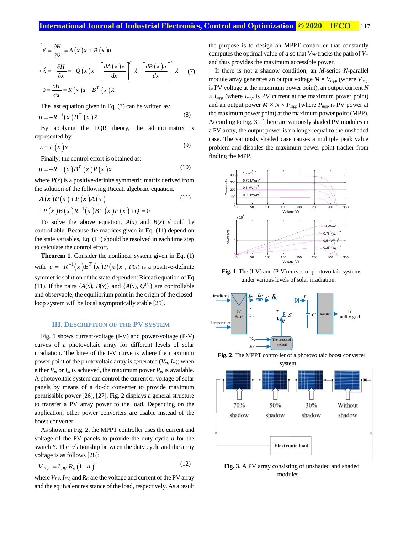$$
\begin{cases}\n\dot{x} = \frac{\partial H}{\partial \lambda} = A(x)x + B(x)u \\
\dot{\lambda} = -\frac{\partial H}{\partial x} = -Q(x)x - \left[\frac{dA(x)x}{dx}\right]^T \lambda - \left[\frac{dB(x)u}{dx}\right]^T \lambda\n\end{cases}
$$
\n(7)\n
$$
0 = \frac{\partial H}{\partial u} = R(x)u + B^T(x)\lambda
$$

The last equation given in Eq. (7) can be written as:

$$
u = -R^{-1}(x)B^{T}(x)\lambda
$$
 (8)

By applying the LOR theory, the adjunct matrix is represented by:

$$
\lambda = P(x)x \tag{9}
$$

Finally, the control effort is obtained as:

$$
u = -R^{-1}(x)B^{T}(x)P(x)x
$$
 (10)

where  $P(x)$  is a positive-definite symmetric matrix derived from the solution of the following Riccati algebraic equation.

$$
A(x)P(x) + P(x)A(x)
$$
\n
$$
-P(x)B(x)R^{-1}(x)B^{T}(x)P(x) + Q = 0
$$
\n(11)

To solve the above equation,  $A(x)$  and  $B(x)$  should be controllable. Because the matrices given in Eq. (11) depend on the state variables, Eq. (11) should be resolved in each time step to calculate the control effort.

**Theorem 1**. Consider the nonlinear system given in Eq. (1) with  $u = -R^{-1}(x)B^{T}(x)P(x)x$ ,  $P(x)$  is a positive-definite symmetric solution of the state-dependent Riccati equation of Eq. (11). If the pairs  $\{A(x), B(x)\}\$  and  $\{A(x), Q^{1/2}\}\$  are controllable and observable, the equilibrium point in the origin of the closedloop system will be local asymptotically stable [25].

## **III. DESCRIPTION OF THE PV SYSTEM**

Fig. 1 shows current-voltage (I-V) and power-voltage (P-V) curves of a photovoltaic array for different levels of solar irradiation. The knee of the I-V curve is where the maximum power point of the photovoltaic array is generated  $(V_m, I_m)$ ; when either  $V_m$  or  $I_m$  is achieved, the maximum power  $P_m$  is available. A photovoltaic system can control the current or voltage of solar panels by means of a dc-dc converter to provide maximum permissible power [26], [27]. Fig. 2 displays a general structure to transfer a PV array power to the load. Depending on the application, other power converters are usable instead of the boost converter.

As shown in Fig. 2, the MPPT controller uses the current and voltage of the PV panels to provide the duty cycle *d* for the switch *S*. The relationship between the duty cycle and the array voltage is as follows [28]:

$$
V_{PV} = I_{PV} R_o (1 - d)^2
$$
 (12)

where  $V_{PV}$ ,  $I_{PV}$ , and  $R_O$  are the voltage and current of the PV array and the equivalent resistance of the load, respectively. As a result, the purpose is to design an MPPT controller that constantly computes the optimal value of *d* so that  $V_{PV}$  tracks the path of  $V_m$ and thus provides the maximum accessible power.

If there is not a shadow condition, an *M*-series *N*-parallel module array generates an output voltage  $M \times V_{\text{mpp}}$  (where  $V_{\text{mpp}}$ ) is PV voltage at the maximum power point), an output current *N*  $\times$  *I<sub>mpp</sub>* (where *I<sub>mpp</sub>* is PV current at the maximum power point) and an output power  $M \times N \times P_{\text{mpp}}$  (where  $P_{\text{mpp}}$  is PV power at the maximum power point) at the maximum power point (MPP). According to Fig. 3, if there are variously shaded PV modules in a PV array, the output power is no longer equal to the unshaded case. The variously shaded case causes a multiple peak value problem and disables the maximum power point tracker from finding the MPP.



**Fig. 1**. The (I-V) and (P-V) curves of photovoltaic systems under various levels of solar irradiation.



**Fig. 2**. The MPPT controller of a photovoltaic boost converter



**Fig. 3**. A PV array consisting of unshaded and shaded modules.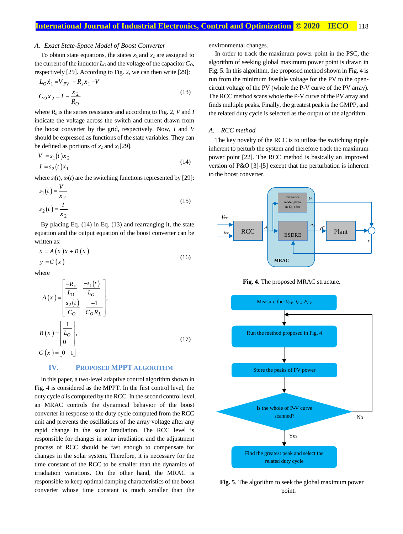#### *A. Exact State-Space Model of Boost Converter*

To obtain state equations, the states  $x_1$  and  $x_2$  are assigned to the current of the inductor  $L_0$  and the voltage of the capacitor  $C_0$ , respectively [29]. According to Fig. 2, we can then write [29]:

$$
L_0 x_1 = V_{PV} - R_s x_1 - V
$$
  
\n
$$
C_0 x_2 = I - \frac{x_2}{R_0}
$$
\n(13)

where  $R_s$  is the series resistance and according to Fig. 2, *V* and *I* indicate the voltage across the switch and current drawn from the boost converter by the grid, respectively. Now, *I* and *V* should be expressed as functions of the state variables. They can be defined as portions of  $x_2$  and  $x_1$  [29].

$$
V = s_1(t)x_2
$$
  
\n
$$
I = s_2(t)x_1
$$
\n(14)

where  $s_1(t)$ ,  $s_2(t)$  are the switching functions represented by [29]:

$$
s_1(t) = \frac{V}{x_2}
$$
  
\n
$$
s_2(t) = \frac{I}{x_2}
$$
 (15)

By placing Eq. (14) in Eq. (13) and rearranging it, the state equation and the output equation of the boost converter can be written as:

$$
\begin{aligned} \n\dot{x} &= A\left(x\right)x + B\left(x\right) \\ \ny &= C\left(x\right) \n\end{aligned} \tag{16}
$$

where

$$
A(x) = \begin{bmatrix} \frac{-R_s}{L_o} & \frac{-s_1(t)}{L_o} \\ \frac{s_2(t)}{C_o} & \frac{-1}{C_o R_L} \end{bmatrix},
$$
  
\n
$$
B(x) = \begin{bmatrix} \frac{1}{L_o} \\ 0 \end{bmatrix},
$$
  
\n
$$
C(x) = \begin{bmatrix} 0 & 1 \end{bmatrix}
$$
 (17)

## **IV. PROPOSED MPPT ALGORITHM**

In this paper, a two-level adaptive control algorithm shown in Fig. 4 is considered as the MPPT. In the first control level, the duty cycle *d* is computed by the RCC. In the second control level, an MRAC controls the dynamical behavior of the boost converter in response to the duty cycle computed from the RCC unit and prevents the oscillations of the array voltage after any rapid change in the solar irradiation. The RCC level is responsible for changes in solar irradiation and the adjustment process of RCC should be fast enough to compensate for changes in the solar system. Therefore, it is necessary for the time constant of the RCC to be smaller than the dynamics of irradiation variations. On the other hand, the MRAC is responsible to keep optimal damping characteristics of the boost converter whose time constant is much smaller than the

environmental changes.

In order to track the maximum power point in the PSC, the algorithm of seeking global maximum power point is drawn in Fig. 5. In this algorithm, the proposed method shown in Fig. 4 is run from the minimum feasible voltage for the PV to the opencircuit voltage of the PV (whole the P-V curve of the PV array). The RCC method scans whole the P-V curve of the PV array and finds multiple peaks. Finally, the greatest peak is the GMPP, and the related duty cycle is selected as the output of the algorithm.

#### *A. RCC method*

The key novelty of the RCC is to utilize the switching ripple inherent to perturb the system and therefore track the maximum power point [22]. The RCC method is basically an improved version of P&O [3]-[5] except that the perturbation is inherent to the boost converter.



**Fig. 4**. The proposed MRAC structure.



**Fig. 5**. The algorithm to seek the global maximum power point.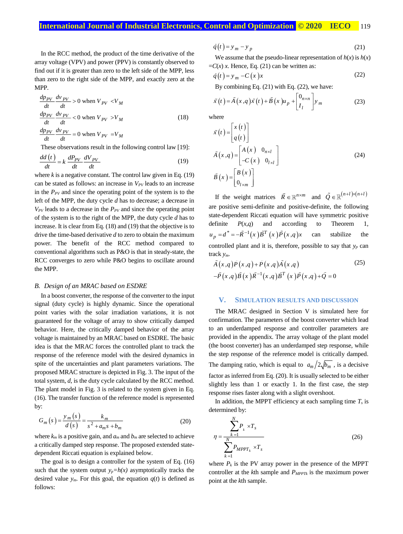In the RCC method, the product of the time derivative of the array voltage (VPV) and power (PPV) is constantly observed to find out if it is greater than zero to the left side of the MPP, less than zero to the right side of the MPP, and exactly zero at the MPP.

$$
\frac{dp_{PV}}{dt} \frac{dv_{PV}}{dt} > 0 \text{ when } V_{PV} < V_M
$$
\n
$$
\frac{dp_{PV}}{dt} \frac{dv_{PV}}{dt} < 0 \text{ when } V_{PV} > V_M
$$
\n
$$
\frac{dp_{PV}}{dt} \frac{dv_{PV}}{dt} = 0 \text{ when } V_{PV} = V_M
$$
\n(18)

These observations result in the following control law [19]:

$$
\frac{dd(t)}{dt} = k \frac{dP_{PV}}{dt} \frac{dV_{PV}}{dt}
$$
\n(19)

where  $k$  is a negative constant. The control law given in Eq.  $(19)$ can be stated as follows: an increase in *VPV* leads to an increase in the  $P_{PV}$  and since the operating point of the system is to the left of the MPP, the duty cycle *d* has to decrease; a decrease in  $V_{PV}$  leads to a decrease in the  $P_{PV}$  and since the operating point of the system is to the right of the MPP, the duty cycle *d* has to increase. It is clear from Eq. (18) and (19) that the objective is to drive the time-based derivative *d* to zero to obtain the maximum power. The benefit of the RCC method compared to conventional algorithms such as P&O is that in steady-state, the RCC converges to zero while P&O begins to oscillate around the MPP.

#### *B. Design of an MRAC based on ESDRE*

In a boost converter, the response of the converter to the input signal (duty cycle) is highly dynamic. Since the operational point varies with the solar irradiation variations, it is not guaranteed for the voltage of array to show critically damped behavior. Here, the critically damped behavior of the array voltage is maintained by an MRAC based on ESDRE. The basic idea is that the MRAC forces the controlled plant to track the response of the reference model with the desired dynamics in spite of the uncertainties and plant parameters variations. The proposed MRAC structure is depicted in Fig. 3. The input of the total system, *d*, is the duty cycle calculated by the RCC method. The plant model in Fig. 3 is related to the system given in Eq. (16). The transfer function of the reference model is represented by:

$$
G_m(s) = \frac{y_m(s)}{d(s)} = \frac{k_m}{s^2 + a_m s + b_m}
$$
 (20)

where  $k_m$  is a positive gain, and  $a_m$  and  $b_m$  are selected to achieve a critically damped step response. The proposed extended statedependent Riccati equation is explained below.

The goal is to design a controller for the system of Eq. (16) such that the system output  $y_p=h(x)$  asymptotically tracks the desired value  $y_m$ . For this goal, the equation  $q(t)$  is defined as follows:

$$
\dot{q}(t) = y_m - y_p \tag{21}
$$

We assume that the pseudo-linear representation of  $h(x)$  is  $h(x)$  $=C(x)$  *x*. Hence, Eq. (21) can be written as:

$$
\dot{q}(t) = y_m - C(x)x \tag{22}
$$

By combining Eq. (21) with Eq. (22), we have:

$$
\tilde{x}(t) = \tilde{A}(x,q)\tilde{x}(t) + \tilde{B}(x)u_p + \begin{bmatrix} 0_{n \times n} \\ I_l \end{bmatrix} y_m
$$
\n(23)

where

$$
\tilde{x}(t) = \begin{bmatrix} x(t) \\ q(t) \end{bmatrix}
$$
\n
$$
\tilde{A}(x,q) = \begin{bmatrix} A(x) & 0_{n \times l} \\ -C(x) & 0_{l \times l} \end{bmatrix}
$$
\n
$$
\tilde{B}(x) = \begin{bmatrix} B(x) \\ 0_{l \times m} \end{bmatrix}
$$
\n(24)

If the weight matrices  $\tilde{R} \in \mathbb{R}^{n \times m}$  and  $\tilde{Q} \in \mathbb{R}^{(n+l)\times(n+l)}$ are positive semi-definite and positive-definite, the following state-dependent Riccati equation will have symmetric positive definite  $P(x,q)$  and according to Theorem 1,  $u_p = d^* = -\tilde{R}^{-1}(x) \tilde{B}^T(x) \tilde{P}(x,q)$ can stabilize the controlled plant and it is, therefore, possible to say that *y<sup>p</sup>* can track *ym*.

$$
\tilde{A}(x,q)\tilde{P}(x,q) + \tilde{P}(x,q)\tilde{A}(x,q)
$$
\n
$$
-\tilde{P}(x,q)\tilde{B}(x)\tilde{R}^{-1}(x,q)\tilde{B}^{T}(x)\tilde{P}(x,q) + \tilde{Q} = 0
$$
\n
$$
(25)
$$

#### **V. SIMULATION RESULTS AND DISCUSSION**

The MRAC designed in Section V is simulated here for confirmation. The parameters of the boost converter which lead to an underdamped response and controller parameters are provided in the appendix. The array voltage of the plant model (the boost converter) has an underdamped step response, while the step response of the reference model is critically damped. The damping ratio, which is equal to  $a_m/2\sqrt{b_m}$ , is a decisive factor as inferred from Eq. (20). It is usually selected to be either slightly less than 1 or exactly 1. In the first case, the step response rises faster along with a slight overshoot.

In addition, the MPPT efficiency at each sampling time  $T<sub>s</sub>$  is determined by:

$$
\eta = \frac{\sum_{k=1}^{N} P_k \times T_s}{\sum_{k=1}^{N} P_{MPPT_k} \times T_s}
$$
(26)

where  $P_k$  is the PV array power in the presence of the MPPT controller at the *k*th sample and *PMPPTk* is the maximum power point at the *k*th sample.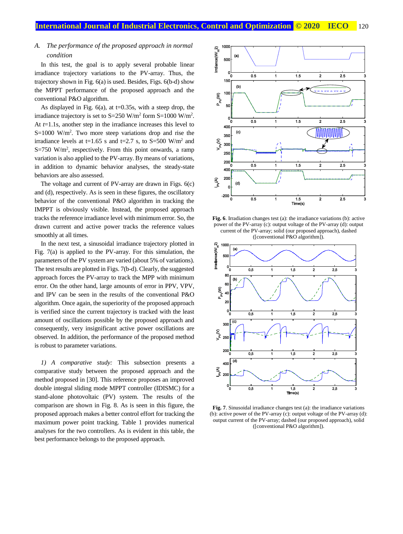# *A. The performance of the proposed approach in normal condition*

In this test, the goal is to apply several probable linear irradiance trajectory variations to the PV-array. Thus, the trajectory shown in Fig. 6(a) is used. Besides, Figs. 6(b-d) show the MPPT performance of the proposed approach and the conventional P&O algorithm.

As displayed in Fig.  $6(a)$ , at t=0.35s, with a steep drop, the irradiance trajectory is set to  $S=250$  W/m<sup>2</sup> form  $S=1000$  W/m<sup>2</sup>. At *t*=1.1s, another step in the irradiance increases this level to S=1000 W/m<sup>2</sup>. Two more steep variations drop and rise the irradiance levels at t=1.65 s and t=2.7 s, to S=500 W/m<sup>2</sup> and  $S=750$  W/m<sup>2</sup>, respectively. From this point onwards, a ramp variation is also applied to the PV-array. By means of variations, in addition to dynamic behavior analyses, the steady-state behaviors are also assessed.

The voltage and current of PV-array are drawn in Figs. 6(c) and (d), respectively. As is seen in these figures, the oscillatory behavior of the conventional P&O algorithm in tracking the IMPPT is obviously visible. Instead, the proposed approach tracks the reference irradiance level with minimum error. So, the drawn current and active power tracks the reference values smoothly at all times.

In the next test, a sinusoidal irradiance trajectory plotted in Fig. 7(a) is applied to the PV-array. For this simulation, the parameters of the PV system are varied (about 5% of variations). The test results are plotted in Figs. 7(b-d). Clearly, the suggested approach forces the PV-array to track the MPP with minimum error. On the other hand, large amounts of error in PPV, VPV, and IPV can be seen in the results of the conventional P&O algorithm. Once again, the superiority of the proposed approach is verified since the current trajectory is tracked with the least amount of oscillations possible by the proposed approach and consequently, very insignificant active power oscillations are observed. In addition, the performance of the proposed method is robust to parameter variations.

*1) A comparative study:* This subsection presents a comparative study between the proposed approach and the method proposed in [30]. This reference proposes an improved double integral sliding mode MPPT controller (IDISMC) for a stand-alone photovoltaic (PV) system. The results of the comparison are shown in Fig. 8. As is seen in this figure, the proposed approach makes a better control effort for tracking the maximum power point tracking. Table 1 provides numerical analyses for the two controllers. As is evident in this table, the best performance belongs to the proposed approach.



**Fig. 6**. Irradiation changes test (a): the irradiance variations (b): active power of the PV-array (c): output voltage of the PV-array (d): output current of the PV-array; solid (our proposed approach), dashed ([conventional P&O algorithm]).



**Fig. 7**. Sinusoidal irradiance changes test (a): the irradiance variations (b): active power of the PV-array (c): output voltage of the PV-array (d): output current of the PV-array; dashed (our proposed approach), solid ([conventional P&O algorithm]).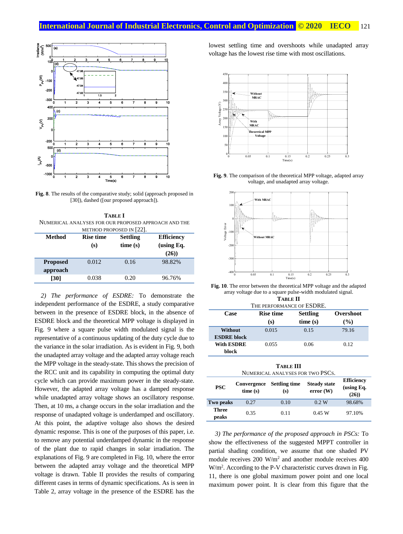

**Fig. 8**. The results of the comparative study; solid (approach proposed in [30]), dashed ([our proposed approach]).

**TABLE I** NUMERICAL ANALYSES FOR OUR PROPOSED APPROACH AND THE METHOD PROPOSED IN [22]

| Method                      | <b>Rise time</b><br>(s) | <b>Settling</b><br>time(s) | <b>Efficiency</b><br>(using $Eq.$<br>(26) |
|-----------------------------|-------------------------|----------------------------|-------------------------------------------|
| <b>Proposed</b><br>approach | 0.012                   | 0.16                       | 98.82%                                    |
| [30]                        | 0.038                   | 0.20                       | 96.76%                                    |

*2) The performance of ESDRE:* To demonstrate the independent performance of the ESDRE, a study comparative between in the presence of ESDRE block, in the absence of ESDRE block and the theoretical MPP voltage is displayed in Fig. 9 where a square pulse width modulated signal is the representative of a continuous updating of the duty cycle due to the variance in the solar irradiation. As is evident in Fig. 9, both the unadapted array voltage and the adapted array voltage reach the MPP voltage in the steady-state. This shows the precision of the RCC unit and its capability in computing the optimal duty cycle which can provide maximum power in the steady-state. However, the adapted array voltage has a damped response while unadapted array voltage shows an oscillatory response. Then, at 10 ms, a change occurs in the solar irradiation and the response of unadapted voltage is underdamped and oscillatory. At this point, the adaptive voltage also shows the desired dynamic response. This is one of the purposes of this paper, i.e. to remove any potential underdamped dynamic in the response of the plant due to rapid changes in solar irradiation. The explanations of Fig. 9 are completed in Fig. 10, where the error between the adapted array voltage and the theoretical MPP voltage is drawn. Table II provides the results of comparing different cases in terms of dynamic specifications. As is seen in Table 2, array voltage in the presence of the ESDRE has the

lowest settling time and overshoots while unadapted array voltage has the lowest rise time with most oscillations.



**Fig. 9**. The comparison of the theoretical MPP voltage, adapted array voltage, and unadapted array voltage.



**Fig. 10**. The error between the theoretical MPP voltage and the adapted array voltage due to a square pulse-width modulated signal. **TABLE II**

| . <i>.</i>                |         |                 |  |  |  |  |  |
|---------------------------|---------|-----------------|--|--|--|--|--|
| THE PERFORMANCE OF ESDRE. |         |                 |  |  |  |  |  |
| <b>Rise time</b><br>Case  |         | Overshoot       |  |  |  |  |  |
| (s)                       | time(s) | $($ %)          |  |  |  |  |  |
| 0.015                     | 0.15    | 79.16           |  |  |  |  |  |
|                           |         |                 |  |  |  |  |  |
| 0.055                     | 0.06    | 0.12            |  |  |  |  |  |
|                           |         |                 |  |  |  |  |  |
|                           |         | <b>Settling</b> |  |  |  |  |  |

**TABLE III** NUMERICAL ANALYSES FOR TWO PSCS

| TUMENICAL AIVAL I SESTUNT WUT DUS. |                        |                             |                                 |                                           |  |  |  |
|------------------------------------|------------------------|-----------------------------|---------------------------------|-------------------------------------------|--|--|--|
| <b>PSC</b>                         | Convergence<br>time(s) | <b>Settling time</b><br>(s) | <b>Steady state</b><br>error(W) | <b>Efficiency</b><br>(using $Eq.$<br>(26) |  |  |  |
| Two peaks                          | 0.27                   | 0.10                        | 0.2 W                           | 98.68%                                    |  |  |  |
| Three<br>peaks                     | 0.35                   | 0.11                        | 0.45 W                          | 97.10%                                    |  |  |  |

*3) The performance of the proposed approach in PSCs:* To show the effectiveness of the suggested MPPT controller in partial shading condition, we assume that one shaded PV module receives 200 W/m<sup>2</sup> and another module receives 400 W/m<sup>2</sup>. According to the P-V characteristic curves drawn in Fig. 11, there is one global maximum power point and one local maximum power point. It is clear from this figure that the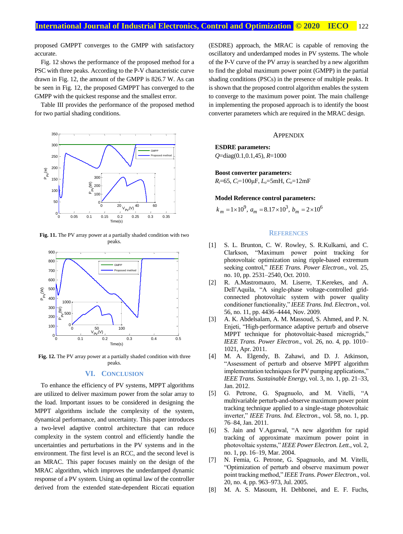proposed GMPPT converges to the GMPP with satisfactory accurate.

Fig. 12 shows the performance of the proposed method for a PSC with three peaks. According to the P-V characteristic curve drawn in Fig. 12, the amount of the GMPP is 826.7 W. As can be seen in Fig. 12, the proposed GMPPT has converged to the GMPP with the quickest response and the smallest error.

Table III provides the performance of the proposed method for two partial shading conditions.



**Fig. 11.** The PV array power at a partially shaded condition with two peaks.



**Fig. 12.** The PV array power at a partially shaded condition with three peaks.

## **VI. CONCLUSION**

To enhance the efficiency of PV systems, MPPT algorithms are utilized to deliver maximum power from the solar array to the load. Important issues to be considered in designing the MPPT algorithms include the complexity of the system, dynamical performance, and uncertainty. This paper introduces a two-level adaptive control architecture that can reduce complexity in the system control and efficiently handle the uncertainties and perturbations in the PV systems and in the environment. The first level is an RCC, and the second level is an MRAC. This paper focuses mainly on the design of the MRAC algorithm, which improves the underdamped dynamic response of a PV system. Using an optimal law of the controller derived from the extended state-dependent Riccati equation (ESDRE) approach, the MRAC is capable of removing the oscillatory and underdamped modes in PV systems. The whole of the P-V curve of the PV array is searched by a new algorithm to find the global maximum power point (GMPP) in the partial shading conditions (PSCs) in the presence of multiple peaks. It is shown that the proposed control algorithm enables the system to converge to the maximum power point. The main challenge in implementing the proposed approach is to identify the boost converter parameters which are required in the MRAC design.

#### **APPENDIX**

## **ESDRE parameters:**

*Q*=diag(0.1,0.1,45), *R*=1000

**Boost converter parameters:** *Ri*=65, *Ci*=100μF, *Lo*=5mH, *Co*=12mF

#### **Model Reference control parameters:**

$$
k_m = 1 \times 10^9
$$
,  $a_m = 8.17 \times 10^3$ ,  $b_m = 2 \times 10^6$ 

## **REFERENCES**

- [1] S. L. Brunton, C. W. Rowley, S. R.Kulkarni, and C. Clarkson, "Maximum power point tracking for photovoltaic optimization using ripple-based extremum seeking control," *IEEE Trans. Power Electron*., vol. 25, no. 10, pp. 2531–2540, Oct. 2010.
- [2] R. A.Mastromauro, M. Liserre, T.Kerekes, and A. Dell'Aquila, "A single-phase voltage-controlled gridconnected photovoltaic system with power quality conditioner functionality," *IEEE Trans. Ind. Electron*., vol. 56, no. 11, pp. 4436–4444, Nov. 2009.
- [3] A. K. Abdelsalam, A. M. Massoud, S. Ahmed, and P. N. Enjeti, "High-performance adaptive perturb and observe MPPT technique for photovoltaic-based microgrids," *IEEE Trans. Power Electron*., vol. 26, no. 4, pp. 1010– 1021, Apr. 2011.
- [4] M. A. Elgendy, B. Zahawi, and D. J. Atkinson, "Assessment of perturb and observe MPPT algorithm implementation techniques for PV pumping applications," *IEEE Trans. Sustainable Energy*, vol. 3, no. 1, pp. 21–33, Jan. 2012.
- [5] G. Petrone, G. Spagnuolo, and M. Vitelli, "A multivariable perturb-and-observe maximum power point tracking technique applied to a single-stage photovoltaic inverter," *IEEE Trans. Ind. Electron*., vol. 58, no. 1, pp. 76–84, Jan. 2011.
- [6] S. Jain and V.Agarwal, "A new algorithm for rapid tracking of approximate maximum power point in photovoltaic systems," *IEEE Power Electron. Lett*., vol. 2, no. 1, pp. 16–19, Mar. 2004.
- [7] N. Femia, G. Petrone, G. Spagnuolo, and M. Vitelli, "Optimization of perturb and observe maximum power point tracking method," *IEEE Trans. Power Electron*., vol. 20, no. 4, pp. 963–973, Jul. 2005.
- [8] M. A. S. Masoum, H. Dehbonei, and E. F. Fuchs,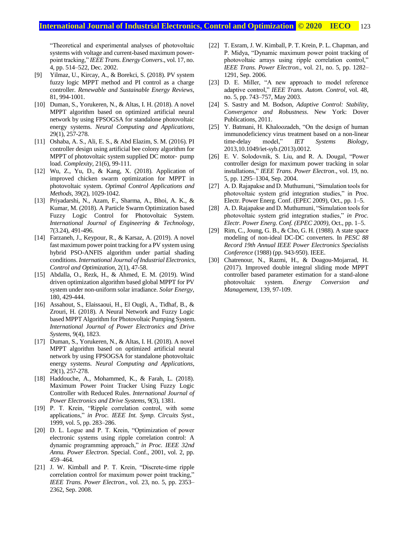## **International Journal of Industrial Electronics, Control and Optimization © 2020 IECO** 123

"Theoretical and experimental analyses of photovoltaic systems with voltage and current-based maximum powerpoint tracking," *IEEE Trans. Energy Convers*., vol. 17, no. 4, pp. 514–522, Dec. 2002.

- [9] Yilmaz, U., Kircay, A., & Borekci, S. (2018). PV system fuzzy logic MPPT method and PI control as a charge controller. *Renewable and Sustainable Energy Reviews*, 81, 994-1001.
- [10] Duman, S., Yorukeren, N., & Altas, I. H. (2018). A novel MPPT algorithm based on optimized artificial neural network by using FPSOGSA for standalone photovoltaic energy systems. *Neural Computing and Applications*, 29(1), 257-278.
- [11] Oshaba, A. S., Ali, E. S., & Abd Elazim, S. M. (2016). PI controller design using artificial bee colony algorithm for MPPT of photovoltaic system supplied DC motor‐ pump load. *Complexity*, 21(6), 99-111.
- [12] Wu, Z., Yu, D., & Kang, X. (2018). Application of improved chicken swarm optimization for MPPT in photovoltaic system. *Optimal Control Applications and Methods*, 39(2), 1029-1042.
- [13] Priyadarshi, N., Azam, F., Sharma, A., Bhoi, A. K., & Kumar, M. (2018). A Particle Swarm Optimization based Fuzzy Logic Control for Photovoltaic System. *International Journal of Engineering & Technology*, 7(3.24), 491-496.
- [14] Farzaneh, J., Keypour, R., & Karsaz, A. (2019). A novel fast maximum power point tracking for a PV system using hybrid PSO-ANFIS algorithm under partial shading conditions. *International Journal of Industrial Electronics, Control and Optimization*, 2(1), 47-58.
- [15] Abdalla, O., Rezk, H., & Ahmed, E. M. (2019). Wind driven optimization algorithm based global MPPT for PV system under non-uniform solar irradiance. *Solar Energy*, 180, 429-444.
- [16] Assahout, S., Elaissaoui, H., El Ougli, A., Tidhaf, B., & Zrouri, H. (2018). A Neural Network and Fuzzy Logic based MPPT Algorithm for Photovoltaic Pumping System. *International Journal of Power Electronics and Drive Systems*, 9(4), 1823.
- [17] Duman, S., Yorukeren, N., & Altas, I. H. (2018). A novel MPPT algorithm based on optimized artificial neural network by using FPSOGSA for standalone photovoltaic energy systems. *Neural Computing and Applications*, 29(1), 257-278.
- [18] Haddouche, A., Mohammed, K., & Farah, L. (2018). Maximum Power Point Tracker Using Fuzzy Logic Controller with Reduced Rules. *International Journal of Power Electronics and Drive Systems*, 9(3), 1381.
- [19] P. T. Krein, "Ripple correlation control, with some applications," *in Proc. IEEE Int. Symp. Circuits Syst*., 1999, vol. 5, pp. 283–286.
- [20] D. L. Logue and P. T. Krein, "Optimization of power electronic systems using ripple correlation control: A dynamic programming approach," *in Proc. IEEE 32nd Annu. Power Electron*. Special. Conf., 2001, vol. 2, pp. 459–464.
- [21] J. W. Kimball and P. T. Krein, "Discrete-time ripple correlation control for maximum power point tracking," *IEEE Trans. Power Electron*., vol. 23, no. 5, pp. 2353– 2362, Sep. 2008.
- [22] T. Esram, J. W. Kimball, P. T. Krein, P. L. Chapman, and P. Midya, "Dynamic maximum power point tracking of photovoltaic arrays using ripple correlation control," *IEEE Trans. Power Electron*., vol. 21, no. 5, pp. 1282– 1291, Sep. 2006.
- [23] D. E. Miller, "A new approach to model reference adaptive control," *IEEE Trans. Autom. Control*, vol. 48, no. 5, pp. 743–757, May 2003.
- [24] S. Sastry and M. Bodson, *Adaptive Control: Stability, Convergence and Robustness*. New York: Dover Publications, 2011.
- [25] Y. Batmani, H. Khaloozadeh, "On the design of human immunodeficiency virus treatment based on a non-linear time-delay model," *IET Systems Biology*, 2013,10.1049/iet-syb.(2013).0012.
- [26] E. V. Solodovnik, S. Liu, and R. A. Dougal, "Power controller design for maximum power tracking in solar installations," *IEEE Trans. Power Electron*., vol. 19, no. 5, pp. 1295–1304, Sep. 2004.
- [27] A. D. Rajapakse and D. Muthumuni, "Simulation tools for photovoltaic system grid integration studies," in Proc. Electr. Power Energ. Conf. (EPEC 2009), Oct., pp. 1–5.
- [28] A. D. Rajapakse and D. Muthumuni, "Simulation tools for photovoltaic system grid integration studies," *in Proc. Electr. Power Energ. Conf. (EPEC 2009),* Oct., pp. 1–5.
- [29] Rim, C., Joung, G. B., & Cho, G. H. (1988). A state space modeling of non-ideal DC-DC converters. In *PESC 88 Record 19th Annual IEEE Power Electronics Specialists Conference* (1988) (pp. 943-950). IEEE.
- [30] Chatrenour, N., Razmi, H., & Doagou-Mojarrad, H. (2017). Improved double integral sliding mode MPPT controller based parameter estimation for a stand-alone photovoltaic system. *Energy Conversion and Management*, 139, 97-109.